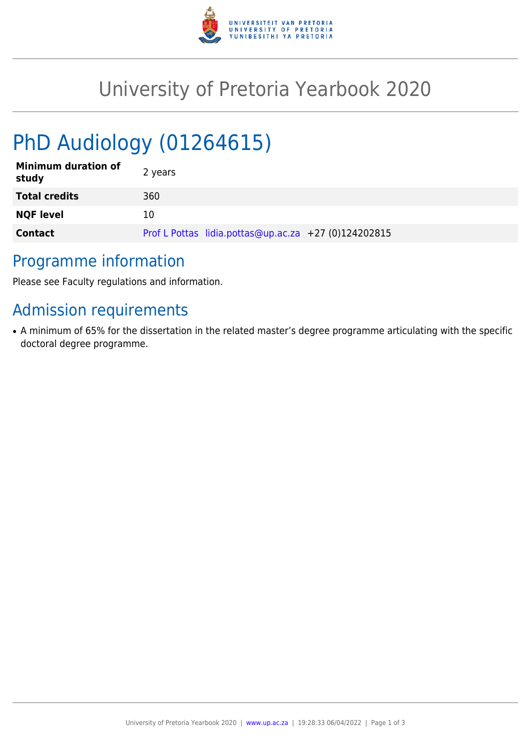

## University of Pretoria Yearbook 2020

# PhD Audiology (01264615)

| <b>Minimum duration of</b><br>study | 2 years                                              |
|-------------------------------------|------------------------------------------------------|
| <b>Total credits</b>                | 360                                                  |
| <b>NQF level</b>                    | 10                                                   |
| <b>Contact</b>                      | Prof L Pottas lidia.pottas@up.ac.za +27 (0)124202815 |

#### Programme information

Please see Faculty regulations and information.

## Admission requirements

• A minimum of 65% for the dissertation in the related master's degree programme articulating with the specific doctoral degree programme.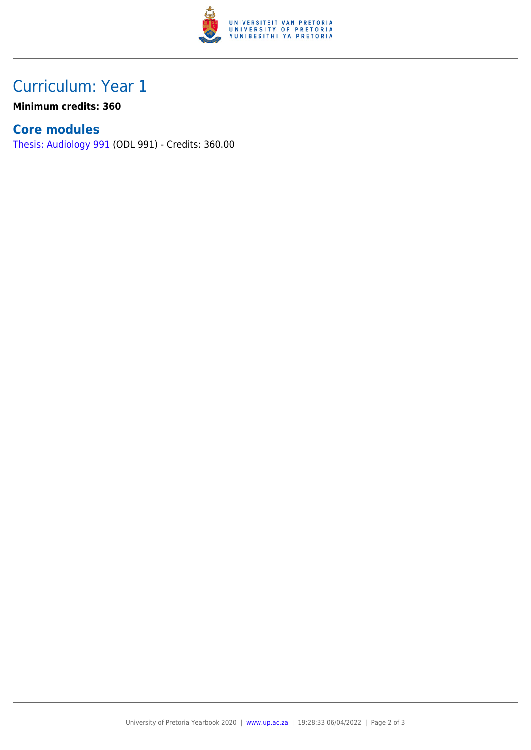

### Curriculum: Year 1

**Minimum credits: 360**

#### **Core modules**

[Thesis: Audiology 991](https://www.up.ac.za/mechanical-and-aeronautical-engineering/yearbooks/2020/modules/view/ODL 991) (ODL 991) - Credits: 360.00